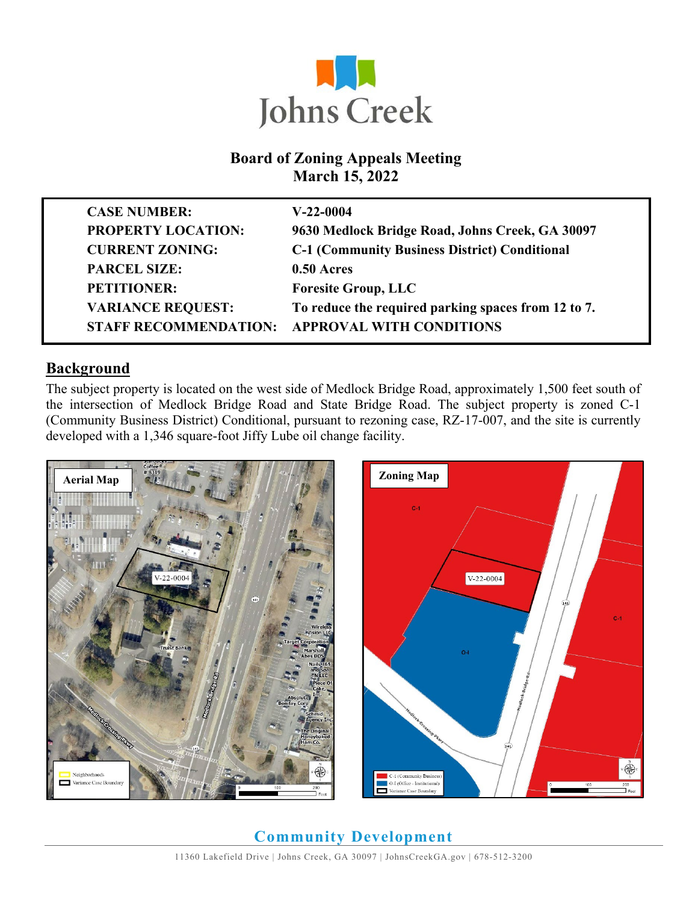

#### **Board of Zoning Appeals Meeting March 15, 2022**

| <b>CASE NUMBER:</b>          | $V-22-0004$                                          |
|------------------------------|------------------------------------------------------|
| <b>PROPERTY LOCATION:</b>    | 9630 Medlock Bridge Road, Johns Creek, GA 30097      |
| <b>CURRENT ZONING:</b>       | <b>C-1 (Community Business District) Conditional</b> |
| <b>PARCEL SIZE:</b>          | $0.50$ Acres                                         |
| <b>PETITIONER:</b>           | <b>Foresite Group, LLC</b>                           |
| <b>VARIANCE REQUEST:</b>     | To reduce the required parking spaces from 12 to 7.  |
| <b>STAFF RECOMMENDATION:</b> | <b>APPROVAL WITH CONDITIONS</b>                      |

#### **Background**

The subject property is located on the west side of Medlock Bridge Road, approximately 1,500 feet south of the intersection of Medlock Bridge Road and State Bridge Road. The subject property is zoned C-1 (Community Business District) Conditional, pursuant to rezoning case, RZ-17-007, and the site is currently developed with a 1,346 square-foot Jiffy Lube oil change facility.



**Community Development**  11360 Lakefield Drive | Johns Creek, GA 30097 | JohnsCreekGA.gov | 678-512-3200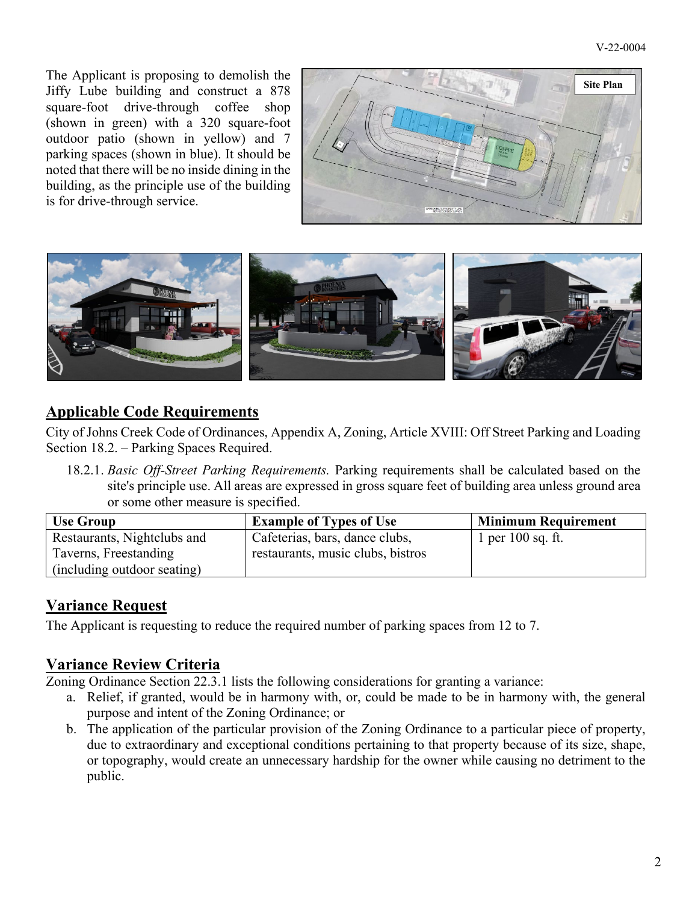The Applicant is proposing to demolish the Jiffy Lube building and construct a 878 square-foot drive-through coffee shop (shown in green) with a 320 square-foot outdoor patio (shown in yellow) and 7 parking spaces (shown in blue). It should be noted that there will be no inside dining in the building, as the principle use of the building is for drive-through service.





# **Applicable Code Requirements**

City of Johns Creek Code of Ordinances, Appendix A, Zoning, Article XVIII: Off Street Parking and Loading Section 18.2. – Parking Spaces Required.

18.2.1. *Basic Off-Street Parking Requirements.* Parking requirements shall be calculated based on the site's principle use. All areas are expressed in gross square feet of building area unless ground area or some other measure is specified.

| <b>Use Group</b>            | <b>Example of Types of Use</b>    | <b>Minimum Requirement</b> |
|-----------------------------|-----------------------------------|----------------------------|
| Restaurants, Nightclubs and | Cafeterias, bars, dance clubs,    | 1 per $100$ sq. ft.        |
| Taverns, Freestanding       | restaurants, music clubs, bistros |                            |
| (including outdoor seating) |                                   |                            |

### **Variance Request**

The Applicant is requesting to reduce the required number of parking spaces from 12 to 7.

### **Variance Review Criteria**

Zoning Ordinance Section 22.3.1 lists the following considerations for granting a variance:

- a. Relief, if granted, would be in harmony with, or, could be made to be in harmony with, the general purpose and intent of the Zoning Ordinance; or
- b. The application of the particular provision of the Zoning Ordinance to a particular piece of property, due to extraordinary and exceptional conditions pertaining to that property because of its size, shape, or topography, would create an unnecessary hardship for the owner while causing no detriment to the public.